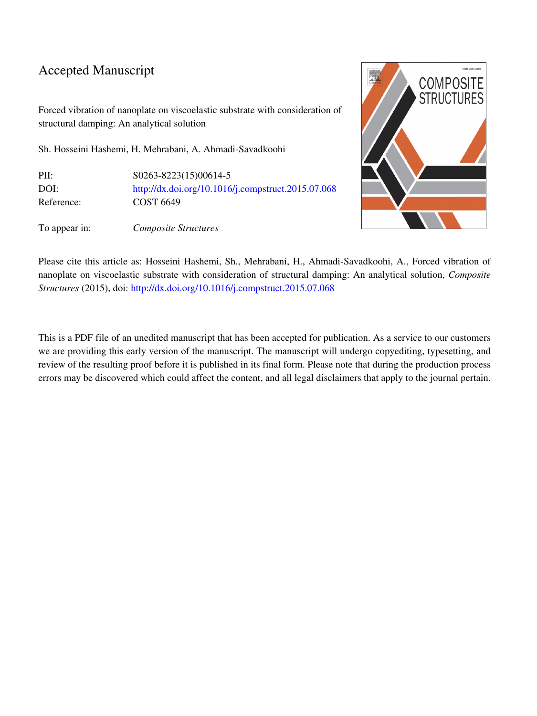## Accepted Manuscript

Forced vibration of nanoplate on viscoelastic substrate with consideration of structural damping: An analytical solution

Sh. Hosseini Hashemi, H. Mehrabani, A. Ahmadi-Savadkoohi

| PII:       | \$0263-8223(15)00614-5                             |
|------------|----------------------------------------------------|
| DOI:       | http://dx.doi.org/10.1016/j.compstruct.2015.07.068 |
| Reference: | COST 6649                                          |

To appear in: Composite Structures



Please cite this article as: Hosseini Hashemi, Sh., Mehrabani, H., Ahmadi-Savadkoohi, A., Forced vibration of nanoplate on viscoelastic substrate with consideration of structural damping: An analytical solution, Composite Structures (2015), doi: [http://dx.doi.org/10.1016/j.compstruct.2015.07.068](http://dx.doi.org/http://dx.doi.org/10.1016/j.compstruct.2015.07.068)

This is a PDF file of an unedited manuscript that has been accepted for publication. As a service to our customers we are providing this early version of the manuscript. The manuscript will undergo copyediting, typesetting, and review of the resulting proof before it is published in its final form. Please note that during the production process errors may be discovered which could affect the content, and all legal disclaimers that apply to the journal pertain.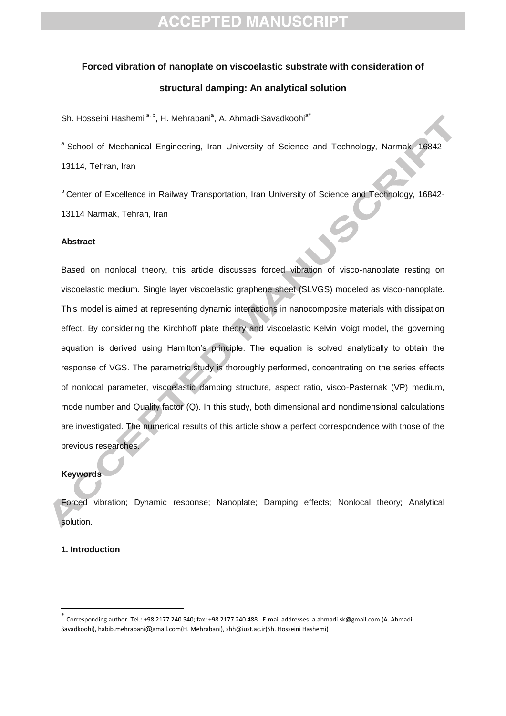# **CCEPTED MANUSCRIPT**

# **Forced vibration of nanoplate on viscoelastic substrate with consideration of structural damping: An analytical solution**

Sh. Hosseini Hashemi<sup>a, b</sup>, H. Mehrabani<sup>a</sup>, A. Ahmadi-Savadkoohi<sup>a\*</sup>

<sup>a</sup> School of Mechanical Engineering, Iran University of Science and Technology, Narmak, 16842-13114, Tehran, Iran

<sup>b</sup> Center of Excellence in Railway Transportation, Iran University of Science and Technology, 16842-13114 Narmak, Tehran, Iran

#### **Abstract**

Based on nonlocal theory, this article discusses forced vibration of visco-nanoplate resting on viscoelastic medium. Single layer viscoelastic graphene sheet (SLVGS) modeled as visco-nanoplate. This model is aimed at representing dynamic interactions in nanocomposite materials with dissipation effect. By considering the Kirchhoff plate theory and viscoelastic Kelvin Voigt model, the governing equation is derived using Hamilton's principle. The equation is solved analytically to obtain the response of VGS. The parametric study is thoroughly performed, concentrating on the series effects of nonlocal parameter, viscoelastic damping structure, aspect ratio, visco-Pasternak (VP) medium, mode number and Quality factor (Q). In this study, both dimensional and nondimensional calculations are investigated. The numerical results of this article show a perfect correspondence with those of the previous researches.

### **Keywords**

Forced vibration; Dynamic response; Nanoplate; Damping effects; Nonlocal theory; Analytical solution.

### **1. Introduction**

 $\overline{a}$ 

<sup>\*</sup> Corresponding author. Tel.: +98 2177 240 540; fax: +98 2177 240 488. E-mail addresses: a.ahmadi.sk@gmail.com (A. Ahmadi-Savadkoohi), habib.mehrabani@gmail.com(H. Mehrabani), shh@iust.ac.ir(Sh. Hosseini Hashemi)